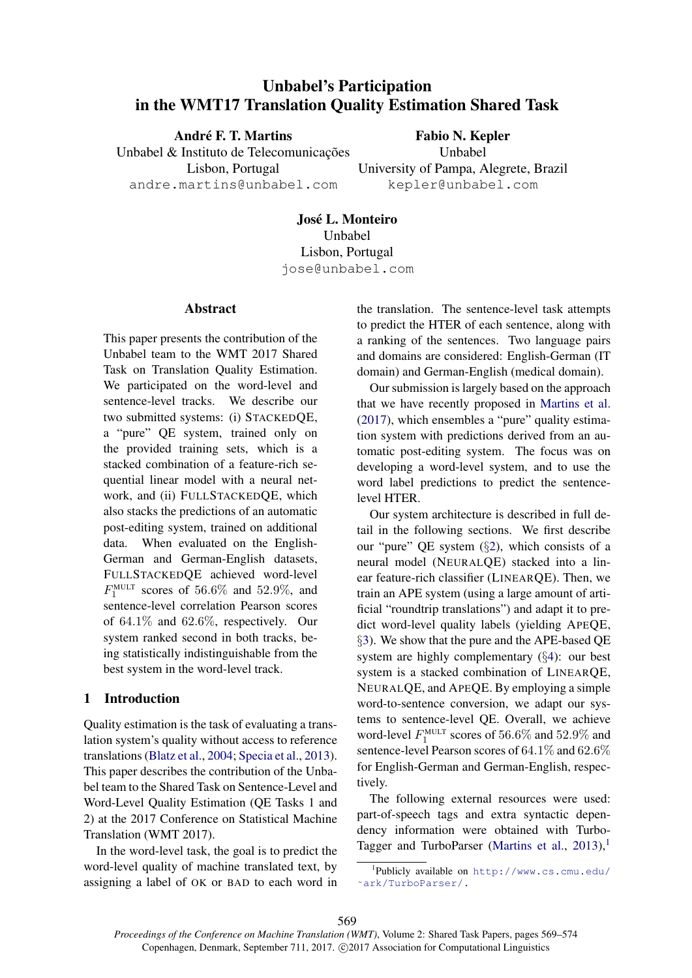# Unbabel's Participation in the WMT17 Translation Quality Estimation Shared Task

André F. T. Martins Unbabel & Instituto de Telecomunicações Lisbon, Portugal andre.martins@unbabel.com

Fabio N. Kepler Unbabel University of Pampa, Alegrete, Brazil kepler@unbabel.com

Jose L. Monteiro ´ Unbabel Lisbon, Portugal jose@unbabel.com

## Abstract

This paper presents the contribution of the Unbabel team to the WMT 2017 Shared Task on Translation Quality Estimation. We participated on the word-level and sentence-level tracks. We describe our two submitted systems: (i) STACKEDQE, a "pure" QE system, trained only on the provided training sets, which is a stacked combination of a feature-rich sequential linear model with a neural network, and (ii) FULLSTACKEDQE, which also stacks the predictions of an automatic post-editing system, trained on additional data. When evaluated on the English-German and German-English datasets, FULLSTACKEDQE achieved word-level  $F_1^{\text{MULT}}$  scores of 56.6% and 52.9%, and sentence-level correlation Pearson scores of 64.1% and 62.6%, respectively. Our system ranked second in both tracks, being statistically indistinguishable from the best system in the word-level track.

# 1 Introduction

Quality estimation is the task of evaluating a translation system's quality without access to reference translations (Blatz et al., 2004; Specia et al., 2013). This paper describes the contribution of the Unbabel team to the Shared Task on Sentence-Level and Word-Level Quality Estimation (QE Tasks 1 and 2) at the 2017 Conference on Statistical Machine Translation (WMT 2017).

In the word-level task, the goal is to predict the word-level quality of machine translated text, by assigning a label of OK or BAD to each word in the translation. The sentence-level task attempts to predict the HTER of each sentence, along with a ranking of the sentences. Two language pairs and domains are considered: English-German (IT domain) and German-English (medical domain).

Our submission is largely based on the approach that we have recently proposed in Martins et al. (2017), which ensembles a "pure" quality estimation system with predictions derived from an automatic post-editing system. The focus was on developing a word-level system, and to use the word label predictions to predict the sentencelevel HTER.

Our system architecture is described in full detail in the following sections. We first describe our "pure" QE system (§2), which consists of a neural model (NEURALQE) stacked into a linear feature-rich classifier (LINEARQE). Then, we train an APE system (using a large amount of artificial "roundtrip translations") and adapt it to predict word-level quality labels (yielding APEQE, §3). We show that the pure and the APE-based QE system are highly complementary (§4): our best system is a stacked combination of LINEARQE, NEURALQE, and APEQE. By employing a simple word-to-sentence conversion, we adapt our systems to sentence-level QE. Overall, we achieve word-level  $F_1^{\text{MULT}}$  scores of 56.6% and 52.9% and sentence-level Pearson scores of 64.1% and 62.6% for English-German and German-English, respectively.

The following external resources were used: part-of-speech tags and extra syntactic dependency information were obtained with Turbo-Tagger and TurboParser (Martins et al.,  $2013$ ),<sup>1</sup>

<sup>1</sup> Publicly available on http://www.cs.cmu.edu/ ˜ark/TurboParser/.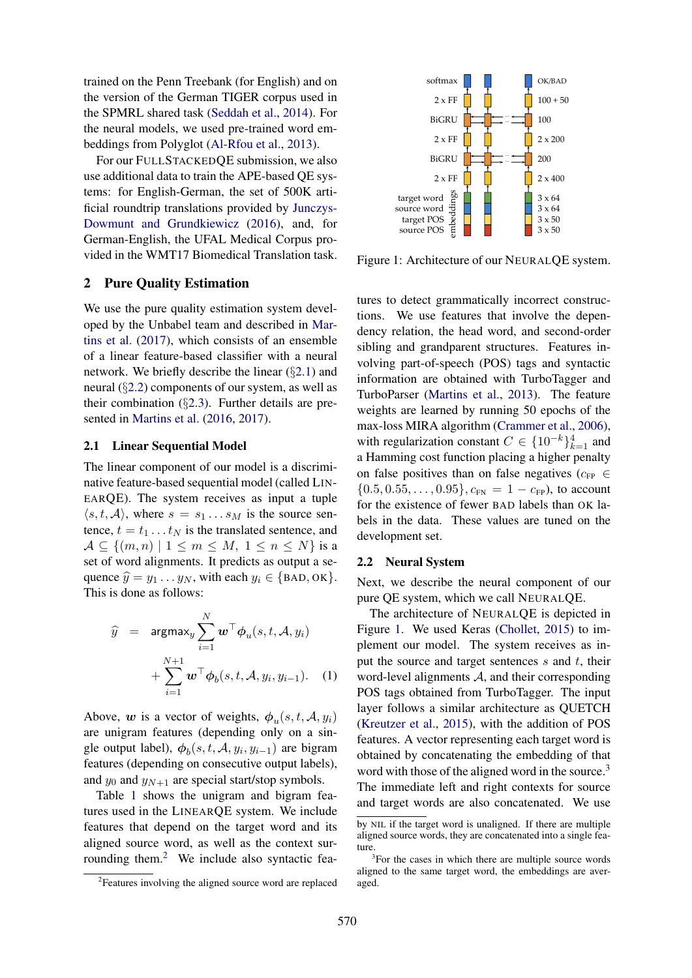trained on the Penn Treebank (for English) and on the version of the German TIGER corpus used in the SPMRL shared task (Seddah et al., 2014). For the neural models, we used pre-trained word embeddings from Polyglot (Al-Rfou et al., 2013).

For our FULLSTACKEDQE submission, we also use additional data to train the APE-based QE systems: for English-German, the set of 500K artificial roundtrip translations provided by Junczys-Dowmunt and Grundkiewicz (2016), and, for German-English, the UFAL Medical Corpus provided in the WMT17 Biomedical Translation task.

## 2 Pure Quality Estimation

We use the pure quality estimation system developed by the Unbabel team and described in Martins et al. (2017), which consists of an ensemble of a linear feature-based classifier with a neural network. We briefly describe the linear  $(\S 2.1)$  and neural (§2.2) components of our system, as well as their combination  $(\S2.3)$ . Further details are presented in Martins et al. (2016, 2017).

#### 2.1 Linear Sequential Model

The linear component of our model is a discriminative feature-based sequential model (called LIN-EARQE). The system receives as input a tuple  $\langle s, t, A \rangle$ , where  $s = s_1 \dots s_M$  is the source sentence,  $t = t_1 \dots t_N$  is the translated sentence, and  $\mathcal{A} \subseteq \{(m,n) \mid 1 \leq m \leq M, 1 \leq n \leq N\}$  is a set of word alignments. It predicts as output a sequence  $\hat{y} = y_1 \dots y_N$ , with each  $y_i \in \{$  BAD, OK $\}$ . This is done as follows:

$$
\widehat{y} = \operatorname{argmax}_{y} \sum_{i=1}^{N} \boldsymbol{w}^{\top} \boldsymbol{\phi}_{u}(s, t, \mathcal{A}, y_{i})
$$

$$
+ \sum_{i=1}^{N+1} \boldsymbol{w}^{\top} \boldsymbol{\phi}_{b}(s, t, \mathcal{A}, y_{i}, y_{i-1}). \quad (1)
$$

Above, w is a vector of weights,  $\phi_u(s, t, \mathcal{A}, y_i)$ are unigram features (depending only on a single output label),  $\phi_b(s, t, \mathcal{A}, y_i, y_{i-1})$  are bigram features (depending on consecutive output labels), and  $y_0$  and  $y_{N+1}$  are special start/stop symbols.

Table 1 shows the unigram and bigram features used in the LINEARQE system. We include features that depend on the target word and its aligned source word, as well as the context surrounding them.<sup>2</sup> We include also syntactic fea-



Figure 1: Architecture of our NEURALQE system.

abundualization continuous and the alternative contents in the aller the aligned source words of the manifolic temperature of the aligned source words of the aligned source words of the aligned source words of the UTAL Me tures to detect grammatically incorrect constructions. We use features that involve the dependency relation, the head word, and second-order sibling and grandparent structures. Features involving part-of-speech (POS) tags and syntactic information are obtained with TurboTagger and TurboParser (Martins et al., 2013). The feature weights are learned by running 50 epochs of the max-loss MIRA algorithm (Crammer et al., 2006), with regularization constant  $C \in \{10^{-k}\}_{k=1}^4$  and a Hamming cost function placing a higher penalty on false positives than on false negatives ( $c_{FP} \in$  $\{0.5, 0.55, \ldots, 0.95\}, c_{FN} = 1 - c_{FP}$ , to account for the existence of fewer BAD labels than OK labels in the data. These values are tuned on the development set.

#### 2.2 Neural System

Next, we describe the neural component of our pure QE system, which we call NEURALQE.

The architecture of NEURALQE is depicted in Figure 1. We used Keras (Chollet, 2015) to implement our model. The system receives as input the source and target sentences  $s$  and  $t$ , their word-level alignments  $A$ , and their corresponding POS tags obtained from TurboTagger. The input layer follows a similar architecture as QUETCH (Kreutzer et al., 2015), with the addition of POS features. A vector representing each target word is obtained by concatenating the embedding of that word with those of the aligned word in the source.<sup>3</sup> The immediate left and right contexts for source and target words are also concatenated. We use

<sup>&</sup>lt;sup>2</sup>Features involving the aligned source word are replaced

by NIL if the target word is unaligned. If there are multiple aligned source words, they are concatenated into a single feature.

<sup>&</sup>lt;sup>3</sup>For the cases in which there are multiple source words aligned to the same target word, the embeddings are averaged.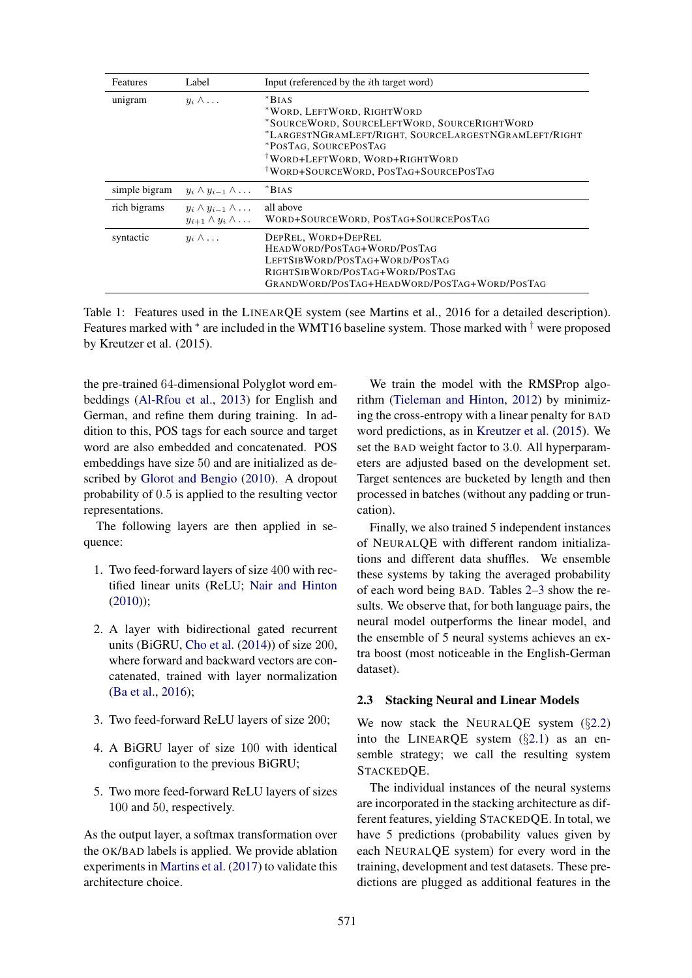| <b>Features</b> | Label                                                                    | Input (referenced by the <i>i</i> th target word)                                                                                                                                                                                                             |  |
|-----------------|--------------------------------------------------------------------------|---------------------------------------------------------------------------------------------------------------------------------------------------------------------------------------------------------------------------------------------------------------|--|
| unigram         | $y_i \wedge \ldots$                                                      | $*Bias$<br>*WORD, LEFTWORD, RIGHTWORD<br>*SOURCEWORD, SOURCELEFTWORD, SOURCERIGHTWORD<br>*LARGESTNGRAMLEFT/RIGHT, SOURCELARGESTNGRAMLEFT/RIGHT<br>*POSTAG, SOURCEPOSTAG<br><sup>†</sup> WORD+LEFTWORD, WORD+RIGHTWORD<br>WORD+SOURCEWORD, POSTAG+SOURCEPOSTAG |  |
| simple bigram   | $y_i \wedge y_{i-1} \wedge \ldots$                                       | $*BIAS$                                                                                                                                                                                                                                                       |  |
| rich bigrams    | $y_i \wedge y_{i-1} \wedge \ldots$<br>$y_{i+1} \wedge y_i \wedge \ldots$ | all above<br>WORD+SOURCEWORD, POSTAG+SOURCEPOSTAG                                                                                                                                                                                                             |  |
| syntactic       | $u_i \wedge \ldots$                                                      | DEPREL, WORD+DEPREL<br>HEADWORD/POSTAG+WORD/POSTAG<br>LEFTSIBWORD/POSTAG+WORD/POSTAG<br>RIGHTSIBWORD/POSTAG+WORD/POSTAG<br>GRANDWORD/POSTAG+HEADWORD/POSTAG+WORD/POSTAG                                                                                       |  |

Table 1: Features used in the LINEARQE system (see Martins et al., 2016 for a detailed description). Features marked with <sup>\*</sup> are included in the WMT16 baseline system. Those marked with <sup>†</sup> were proposed by Kreutzer et al. (2015).

the pre-trained 64-dimensional Polyglot word embeddings (Al-Rfou et al., 2013) for English and German, and refine them during training. In addition to this, POS tags for each source and target word are also embedded and concatenated. POS embeddings have size 50 and are initialized as described by Glorot and Bengio (2010). A dropout probability of 0.5 is applied to the resulting vector representations.

The following layers are then applied in sequence:

- 1. Two feed-forward layers of size 400 with rectified linear units (ReLU; Nair and Hinton (2010));
- 2. A layer with bidirectional gated recurrent units (BiGRU, Cho et al. (2014)) of size 200, where forward and backward vectors are concatenated, trained with layer normalization (Ba et al., 2016);
- 3. Two feed-forward ReLU layers of size 200;
- 4. A BiGRU layer of size 100 with identical configuration to the previous BiGRU;
- 5. Two more feed-forward ReLU layers of sizes 100 and 50, respectively.

As the output layer, a softmax transformation over the OK/BAD labels is applied. We provide ablation experiments in Martins et al. (2017) to validate this architecture choice.

We train the model with the RMSProp algorithm (Tieleman and Hinton, 2012) by minimizing the cross-entropy with a linear penalty for BAD word predictions, as in Kreutzer et al. (2015). We set the BAD weight factor to 3.0. All hyperparameters are adjusted based on the development set. Target sentences are bucketed by length and then processed in batches (without any padding or truncation).

Finally, we also trained 5 independent instances of NEURALQE with different random initializations and different data shuffles. We ensemble these systems by taking the averaged probability of each word being BAD. Tables 2–3 show the results. We observe that, for both language pairs, the neural model outperforms the linear model, and the ensemble of 5 neural systems achieves an extra boost (most noticeable in the English-German dataset).

## 2.3 Stacking Neural and Linear Models

We now stack the NEURALOE system  $(82.2)$ into the LINEARQE system  $(\S2.1)$  as an ensemble strategy; we call the resulting system STACKEDQE.

The individual instances of the neural systems are incorporated in the stacking architecture as different features, yielding STACKEDQE. In total, we have 5 predictions (probability values given by each NEURALQE system) for every word in the training, development and test datasets. These predictions are plugged as additional features in the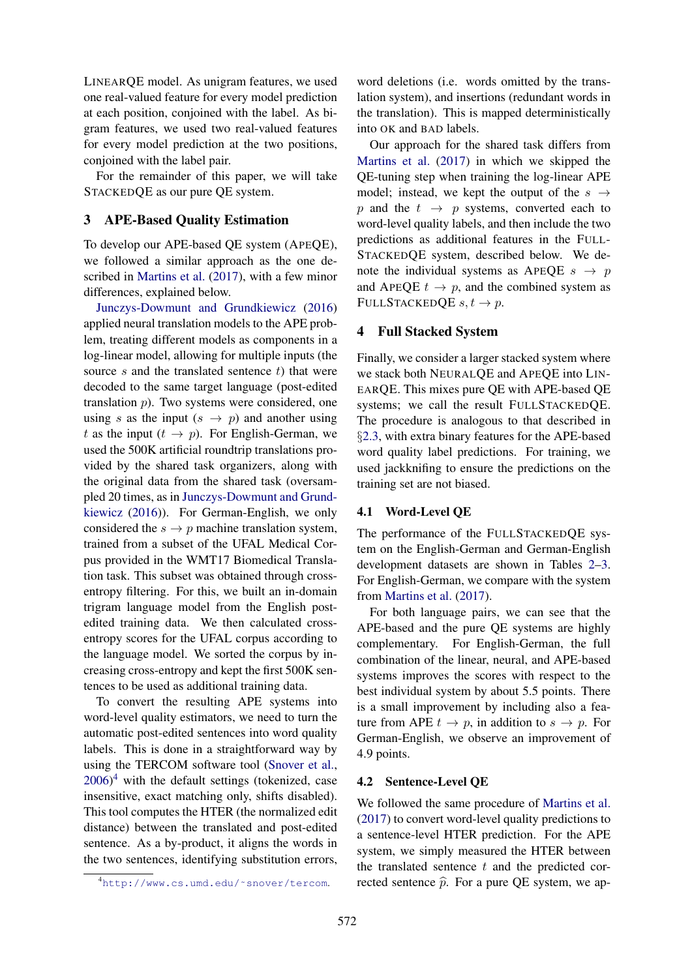LINEARQE model. As unigram features, we used one real-valued feature for every model prediction at each position, conjoined with the label. As bigram features, we used two real-valued features for every model prediction at the two positions, conjoined with the label pair.

For the remainder of this paper, we will take STACKEDQE as our pure QE system.

## 3 APE-Based Quality Estimation

To develop our APE-based QE system (APEQE), we followed a similar approach as the one described in Martins et al. (2017), with a few minor differences, explained below.

Junczys-Dowmunt and Grundkiewicz (2016) applied neural translation models to the APE problem, treating different models as components in a log-linear model, allowing for multiple inputs (the source  $s$  and the translated sentence  $t$ ) that were decoded to the same target language (post-edited translation p). Two systems were considered, one using s as the input  $(s \rightarrow p)$  and another using t as the input  $(t \rightarrow p)$ . For English-German, we used the 500K artificial roundtrip translations provided by the shared task organizers, along with the original data from the shared task (oversampled 20 times, as in Junczys-Dowmunt and Grundkiewicz (2016)). For German-English, we only considered the  $s \rightarrow p$  machine translation system, trained from a subset of the UFAL Medical Corpus provided in the WMT17 Biomedical Translation task. This subset was obtained through crossentropy filtering. For this, we built an in-domain trigram language model from the English postedited training data. We then calculated crossentropy scores for the UFAL corpus according to the language model. We sorted the corpus by increasing cross-entropy and kept the first 500K sentences to be used as additional training data.

To convert the resulting APE systems into word-level quality estimators, we need to turn the automatic post-edited sentences into word quality labels. This is done in a straightforward way by using the TERCOM software tool (Snover et al.,  $2006$ <sup>4</sup> with the default settings (tokenized, case insensitive, exact matching only, shifts disabled). This tool computes the HTER (the normalized edit distance) between the translated and post-edited sentence. As a by-product, it aligns the words in the two sentences, identifying substitution errors,

word deletions (i.e. words omitted by the translation system), and insertions (redundant words in the translation). This is mapped deterministically into OK and BAD labels.

Our approach for the shared task differs from Martins et al. (2017) in which we skipped the QE-tuning step when training the log-linear APE model; instead, we kept the output of the  $s \rightarrow$ p and the  $t \rightarrow p$  systems, converted each to word-level quality labels, and then include the two predictions as additional features in the FULL-STACKEDQE system, described below. We denote the individual systems as APEQE  $s \rightarrow p$ and APEQE  $t \to p$ , and the combined system as FULLSTACKEDQE  $s, t \rightarrow p$ .

#### 4 Full Stacked System

Finally, we consider a larger stacked system where we stack both NEURALQE and APEQE into LIN-EARQE. This mixes pure QE with APE-based QE systems; we call the result FULLSTACKEDQE. The procedure is analogous to that described in §2.3, with extra binary features for the APE-based word quality label predictions. For training, we used jackknifing to ensure the predictions on the training set are not biased.

#### 4.1 Word-Level QE

The performance of the FULLSTACKEDQE system on the English-German and German-English development datasets are shown in Tables 2–3. For English-German, we compare with the system from Martins et al. (2017).

For both language pairs, we can see that the APE-based and the pure QE systems are highly complementary. For English-German, the full combination of the linear, neural, and APE-based systems improves the scores with respect to the best individual system by about 5.5 points. There is a small improvement by including also a feature from APE  $t \to p$ , in addition to  $s \to p$ . For German-English, we observe an improvement of 4.9 points.

## 4.2 Sentence-Level QE

We followed the same procedure of Martins et al. (2017) to convert word-level quality predictions to a sentence-level HTER prediction. For the APE system, we simply measured the HTER between the translated sentence  $t$  and the predicted corrected sentence  $\hat{p}$ . For a pure QE system, we ap-

<sup>4</sup>http://www.cs.umd.edu/˜snover/tercom.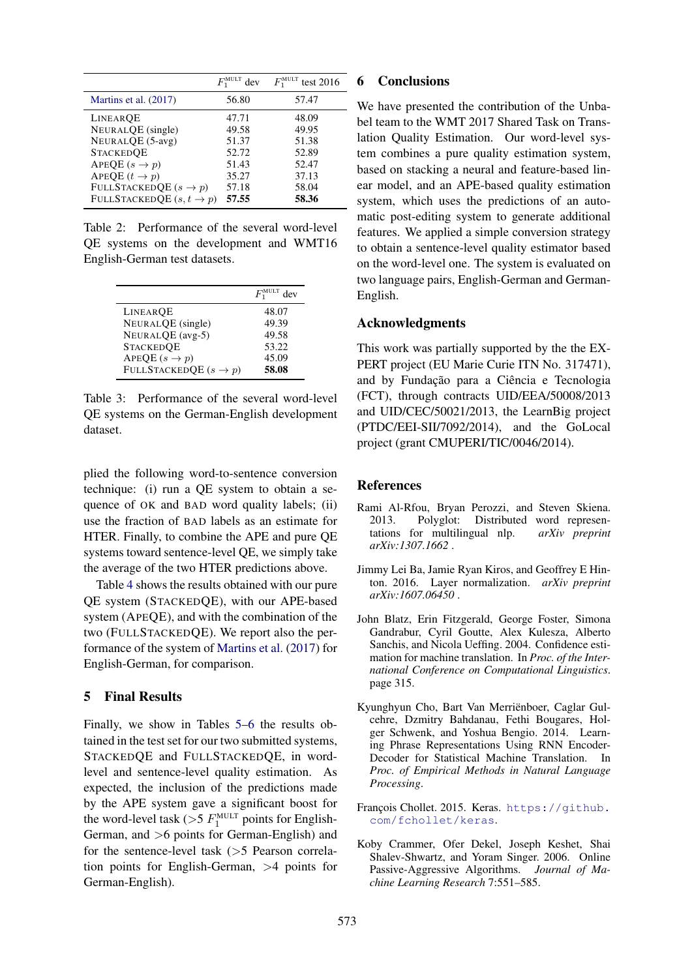|                                      | $F_1^{\text{MULT}}$ dev | $F_1^{\text{MULT}}$ test 2016 |
|--------------------------------------|-------------------------|-------------------------------|
| Martins et al. (2017)                | 56.80                   | 57.47                         |
| LINEAROE                             | 47.71                   | 48.09                         |
| NEURALQE (single)                    | 49.58                   | 49.95                         |
| NEURALQE (5-avg)                     | 51.37                   | 51.38                         |
| <b>STACKEDOE</b>                     | 52.72                   | 52.89                         |
| APEQE $(s \rightarrow p)$            | 51.43                   | 52.47                         |
| APEQE $(t \rightarrow p)$            | 35.27                   | 37.13                         |
| FULLSTACKEDQE $(s \rightarrow p)$    | 57.18                   | 58.04                         |
| FULLSTACKEDQE $(s, t \rightarrow p)$ | 57.55                   | 58.36                         |

Table 2: Performance of the several word-level QE systems on the development and WMT16 English-German test datasets.

|                                   | $F_1^{\text{MULT}}$ dev |
|-----------------------------------|-------------------------|
| LINEAROE                          | 48.07                   |
| NEURALQE (single)                 | 49.39                   |
| NEURALQE (avg-5)                  | 49.58                   |
| <b>STACKEDQE</b>                  | 53.22                   |
| APEQE $(s \rightarrow p)$         | 45.09                   |
| FULLSTACKEDQE $(s \rightarrow p)$ | 58.08                   |

Table 3: Performance of the several word-level QE systems on the German-English development dataset.

plied the following word-to-sentence conversion technique: (i) run a QE system to obtain a sequence of OK and BAD word quality labels; (ii) use the fraction of BAD labels as an estimate for HTER. Finally, to combine the APE and pure QE systems toward sentence-level QE, we simply take the average of the two HTER predictions above.

Table 4 shows the results obtained with our pure QE system (STACKEDQE), with our APE-based system (APEQE), and with the combination of the two (FULLSTACKEDQE). We report also the performance of the system of Martins et al. (2017) for English-German, for comparison.

# 5 Final Results

Finally, we show in Tables 5–6 the results obtained in the test set for our two submitted systems, STACKEDQE and FULLSTACKEDQE, in wordlevel and sentence-level quality estimation. As expected, the inclusion of the predictions made by the APE system gave a significant boost for the word-level task ( $>$ 5  $F_1^{\text{MULT}}$  points for English-German, and >6 points for German-English) and for the sentence-level task (>5 Pearson correlation points for English-German, >4 points for German-English).

#### 6 Conclusions

We have presented the contribution of the Unbabel team to the WMT 2017 Shared Task on Translation Quality Estimation. Our word-level system combines a pure quality estimation system, based on stacking a neural and feature-based linear model, and an APE-based quality estimation system, which uses the predictions of an automatic post-editing system to generate additional features. We applied a simple conversion strategy to obtain a sentence-level quality estimator based on the word-level one. The system is evaluated on two language pairs, English-German and German-English.

## Acknowledgments

This work was partially supported by the the EX-PERT project (EU Marie Curie ITN No. 317471), and by Fundação para a Ciência e Tecnologia (FCT), through contracts UID/EEA/50008/2013 and UID/CEC/50021/2013, the LearnBig project (PTDC/EEI-SII/7092/2014), and the GoLocal project (grant CMUPERI/TIC/0046/2014).

#### **References**

- Rami Al-Rfou, Bryan Perozzi, and Steven Skiena. 2013. Polyglot: Distributed word representations for multilingual nlp. *arXiv preprint arXiv:1307.1662* .
- Jimmy Lei Ba, Jamie Ryan Kiros, and Geoffrey E Hinton. 2016. Layer normalization. *arXiv preprint arXiv:1607.06450* .
- John Blatz, Erin Fitzgerald, George Foster, Simona Gandrabur, Cyril Goutte, Alex Kulesza, Alberto Sanchis, and Nicola Ueffing. 2004. Confidence estimation for machine translation. In *Proc. of the International Conference on Computational Linguistics*. page 315.
- Kyunghyun Cho, Bart Van Merrienboer, Caglar Gul- ¨ cehre, Dzmitry Bahdanau, Fethi Bougares, Holger Schwenk, and Yoshua Bengio. 2014. Learning Phrase Representations Using RNN Encoder-Decoder for Statistical Machine Translation. In *Proc. of Empirical Methods in Natural Language Processing*.
- François Chollet. 2015. Keras. https://github. com/fchollet/keras.
- Koby Crammer, Ofer Dekel, Joseph Keshet, Shai Shalev-Shwartz, and Yoram Singer. 2006. Online Passive-Aggressive Algorithms. *Journal of Machine Learning Research* 7:551–585.